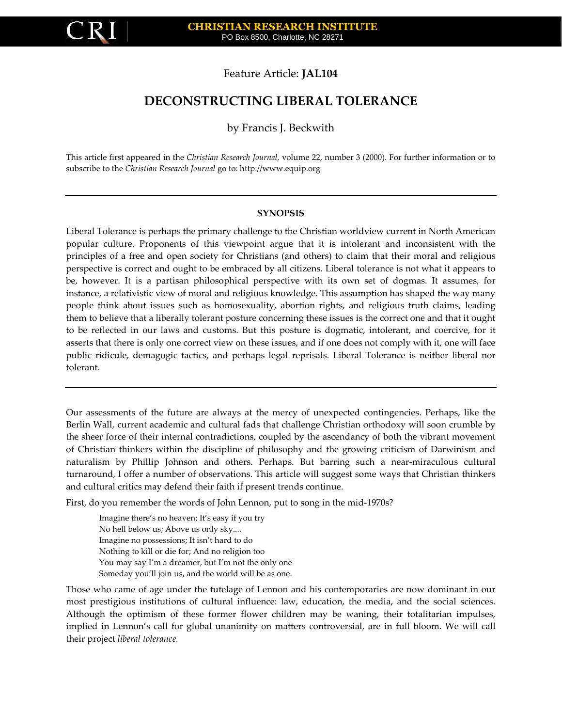

## Feature Article: **JAL104**

# **DECONSTRUCTING LIBERAL TOLERANCE**

# by Francis J. Beckwith

This article first appeared in the *Christian Research Journal*, volume 22, number 3 (2000). For further information or to subscribe to the *Christian Research Journal* go to: [http://www.equip.org](http://www.equip.org/)

#### **SYNOPSIS**

Liberal Tolerance is perhaps the primary challenge to the Christian worldview current in North American popular culture. Proponents of this viewpoint argue that it is intolerant and inconsistent with the principles of a free and open society for Christians (and others) to claim that their moral and religious perspective is correct and ought to be embraced by all citizens. Liberal tolerance is not what it appears to be, however. It is a partisan philosophical perspective with its own set of dogmas. It assumes, for instance, a relativistic view of moral and religious knowledge. This assumption has shaped the way many people think about issues such as homosexuality, abortion rights, and religious truth claims, leading them to believe that a liberally tolerant posture concerning these issues is the correct one and that it ought to be reflected in our laws and customs. But this posture is dogmatic, intolerant, and coercive, for it asserts that there is only one correct view on these issues, and if one does not comply with it, one will face public ridicule, demagogic tactics, and perhaps legal reprisals. Liberal Tolerance is neither liberal nor tolerant.

Our assessments of the future are always at the mercy of unexpected contingencies. Perhaps, like the Berlin Wall, current academic and cultural fads that challenge Christian orthodoxy will soon crumble by the sheer force of their internal contradictions, coupled by the ascendancy of both the vibrant movement of Christian thinkers within the discipline of philosophy and the growing criticism of Darwinism and naturalism by Phillip Johnson and others. Perhaps. But barring such a near-miraculous cultural turnaround, I offer a number of observations. This article will suggest some ways that Christian thinkers and cultural critics may defend their faith if present trends continue.

First, do you remember the words of John Lennon, put to song in the mid-1970s?

Imagine there's no heaven; It's easy if you try No hell below us; Above us only sky.... Imagine no possessions; It isn't hard to do Nothing to kill or die for; And no religion too You may say I'm a dreamer, but I'm not the only one Someday you'll join us, and the world will be as one.

Those who came of age under the tutelage of Lennon and his contemporaries are now dominant in our most prestigious institutions of cultural influence: law, education, the media, and the social sciences. Although the optimism of these former flower children may be waning, their totalitarian impulses, implied in Lennon's call for global unanimity on matters controversial, are in full bloom. We will call their project *liberal tolerance.*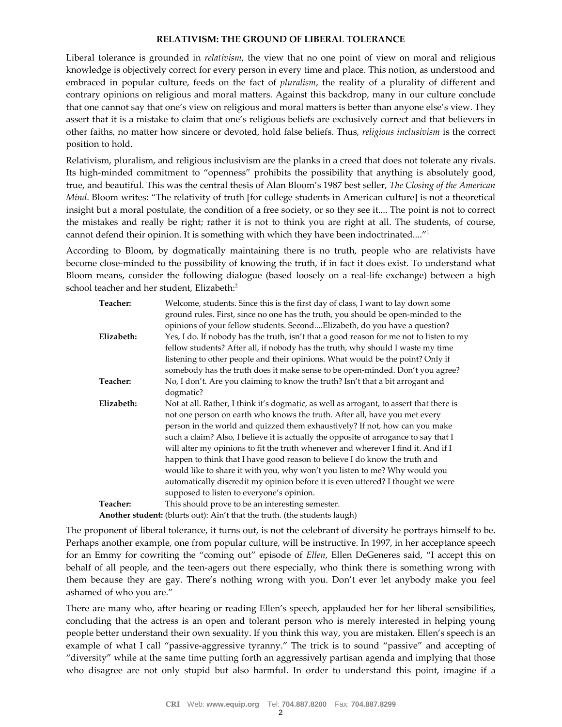#### **RELATIVISM: THE GROUND OF LIBERAL TOLERANCE**

Liberal tolerance is grounded in *relativism*, the view that no one point of view on moral and religious knowledge is objectively correct for every person in every time and place. This notion, as understood and embraced in popular culture, feeds on the fact of *pluralism*, the reality of a plurality of different and contrary opinions on religious and moral matters. Against this backdrop, many in our culture conclude that one cannot say that one's view on religious and moral matters is better than anyone else's view. They assert that it is a mistake to claim that one's religious beliefs are exclusively correct and that believers in other faiths, no matter how sincere or devoted, hold false beliefs. Thus, *religious inclusivism* is the correct position to hold.

Relativism, pluralism, and religious inclusivism are the planks in a creed that does not tolerate any rivals. Its high-minded commitment to "openness" prohibits the possibility that anything is absolutely good, true, and beautiful. This was the central thesis of Alan Bloom's 1987 best seller, *The Closing of the American Mind*. Bloom writes: "The relativity of truth [for college students in American culture] is not a theoretical insight but a moral postulate, the condition of a free society, or so they see it.... The point is not to correct the mistakes and really be right; rather it is not to think you are right at all. The students, of course, cannot defend their opinion. It is something with which they have been indoctrinated...."<sup>1</sup>

According to Bloom, by dogmatically maintaining there is no truth, people who are relativists have become close-minded to the possibility of knowing the truth, if in fact it does exist. To understand what Bloom means, consider the following dialogue (based loosely on a real-life exchange) between a high school teacher and her student, Elizabeth:<sup>2</sup>

| Teacher:   | Welcome, students. Since this is the first day of class, I want to lay down some<br>ground rules. First, since no one has the truth, you should be open-minded to the |
|------------|-----------------------------------------------------------------------------------------------------------------------------------------------------------------------|
|            | opinions of your fellow students. SecondElizabeth, do you have a question?                                                                                            |
| Elizabeth: | Yes, I do. If nobody has the truth, isn't that a good reason for me not to listen to my                                                                               |
|            | fellow students? After all, if nobody has the truth, why should I waste my time                                                                                       |
|            | listening to other people and their opinions. What would be the point? Only if                                                                                        |
|            | somebody has the truth does it make sense to be open-minded. Don't you agree?                                                                                         |
| Teacher:   | No, I don't. Are you claiming to know the truth? Isn't that a bit arrogant and                                                                                        |
|            | dogmatic?                                                                                                                                                             |
| Elizabeth: | Not at all. Rather, I think it's dogmatic, as well as arrogant, to assert that there is                                                                               |
|            | not one person on earth who knows the truth. After all, have you met every                                                                                            |
|            | person in the world and quizzed them exhaustively? If not, how can you make                                                                                           |
|            | such a claim? Also, I believe it is actually the opposite of arrogance to say that I                                                                                  |
|            | will alter my opinions to fit the truth whenever and wherever I find it. And if I                                                                                     |
|            | happen to think that I have good reason to believe I do know the truth and                                                                                            |
|            | would like to share it with you, why won't you listen to me? Why would you                                                                                            |
|            | automatically discredit my opinion before it is even uttered? I thought we were                                                                                       |
|            | supposed to listen to everyone's opinion.                                                                                                                             |
| Teacher:   | This should prove to be an interesting semester.                                                                                                                      |
|            | Another student: (blurts out): Ain't that the truth. (the students laugh)                                                                                             |

The proponent of liberal tolerance, it turns out, is not the celebrant of diversity he portrays himself to be. Perhaps another example, one from popular culture, will be instructive. In 1997, in her acceptance speech for an Emmy for cowriting the "coming out" episode of *Ellen*, Ellen DeGeneres said, "I accept this on behalf of all people, and the teen-agers out there especially, who think there is something wrong with them because they are gay. There's nothing wrong with you. Don't ever let anybody make you feel ashamed of who you are."

There are many who, after hearing or reading Ellen's speech, applauded her for her liberal sensibilities, concluding that the actress is an open and tolerant person who is merely interested in helping young people better understand their own sexuality. If you think this way, you are mistaken. Ellen's speech is an example of what I call "passive-aggressive tyranny." The trick is to sound "passive" and accepting of "diversity" while at the same time putting forth an aggressively partisan agenda and implying that those who disagree are not only stupid but also harmful. In order to understand this point, imagine if a

2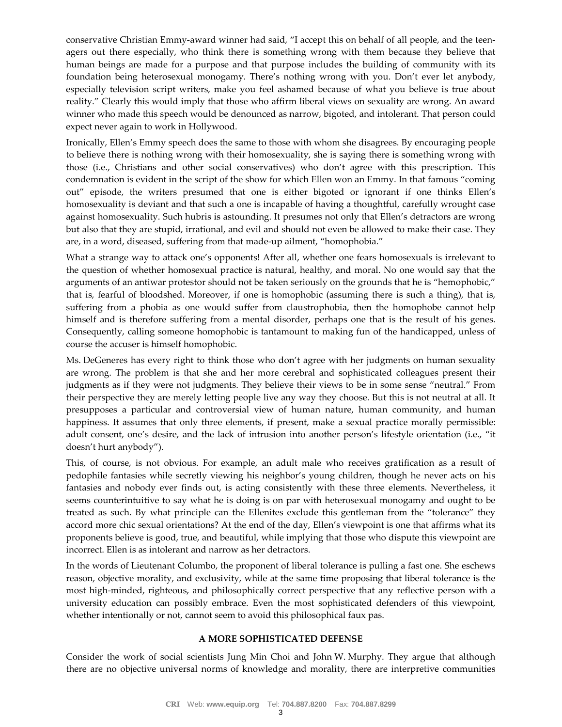conservative Christian Emmy-award winner had said, "I accept this on behalf of all people, and the teenagers out there especially, who think there is something wrong with them because they believe that human beings are made for a purpose and that purpose includes the building of community with its foundation being heterosexual monogamy. There's nothing wrong with you. Don't ever let anybody, especially television script writers, make you feel ashamed because of what you believe is true about reality." Clearly this would imply that those who affirm liberal views on sexuality are wrong. An award winner who made this speech would be denounced as narrow, bigoted, and intolerant. That person could expect never again to work in Hollywood.

Ironically, Ellen's Emmy speech does the same to those with whom she disagrees. By encouraging people to believe there is nothing wrong with their homosexuality, she is saying there is something wrong with those (i.e., Christians and other social conservatives) who don't agree with this prescription. This condemnation is evident in the script of the show for which Ellen won an Emmy. In that famous "coming out" episode, the writers presumed that one is either bigoted or ignorant if one thinks Ellen's homosexuality is deviant and that such a one is incapable of having a thoughtful, carefully wrought case against homosexuality. Such hubris is astounding. It presumes not only that Ellen's detractors are wrong but also that they are stupid, irrational, and evil and should not even be allowed to make their case. They are, in a word, diseased, suffering from that made-up ailment, "homophobia."

What a strange way to attack one's opponents! After all, whether one fears homosexuals is irrelevant to the question of whether homosexual practice is natural, healthy, and moral. No one would say that the arguments of an antiwar protestor should not be taken seriously on the grounds that he is "hemophobic," that is, fearful of bloodshed. Moreover, if one is homophobic (assuming there is such a thing), that is, suffering from a phobia as one would suffer from claustrophobia, then the homophobe cannot help himself and is therefore suffering from a mental disorder, perhaps one that is the result of his genes. Consequently, calling someone homophobic is tantamount to making fun of the handicapped, unless of course the accuser is himself homophobic.

Ms. DeGeneres has every right to think those who don't agree with her judgments on human sexuality are wrong. The problem is that she and her more cerebral and sophisticated colleagues present their judgments as if they were not judgments. They believe their views to be in some sense "neutral." From their perspective they are merely letting people live any way they choose. But this is not neutral at all. It presupposes a particular and controversial view of human nature, human community, and human happiness. It assumes that only three elements, if present, make a sexual practice morally permissible: adult consent, one's desire, and the lack of intrusion into another person's lifestyle orientation (i.e., "it doesn't hurt anybody").

This, of course, is not obvious. For example, an adult male who receives gratification as a result of pedophile fantasies while secretly viewing his neighbor's young children, though he never acts on his fantasies and nobody ever finds out, is acting consistently with these three elements. Nevertheless, it seems counterintuitive to say what he is doing is on par with heterosexual monogamy and ought to be treated as such. By what principle can the Ellenites exclude this gentleman from the "tolerance" they accord more chic sexual orientations? At the end of the day, Ellen's viewpoint is one that affirms what its proponents believe is good, true, and beautiful, while implying that those who dispute this viewpoint are incorrect. Ellen is as intolerant and narrow as her detractors.

In the words of Lieutenant Columbo, the proponent of liberal tolerance is pulling a fast one. She eschews reason, objective morality, and exclusivity, while at the same time proposing that liberal tolerance is the most high-minded, righteous, and philosophically correct perspective that any reflective person with a university education can possibly embrace. Even the most sophisticated defenders of this viewpoint, whether intentionally or not, cannot seem to avoid this philosophical faux pas.

### **A MORE SOPHISTICATED DEFENSE**

Consider the work of social scientists Jung Min Choi and John W. Murphy. They argue that although there are no objective universal norms of knowledge and morality, there are interpretive communities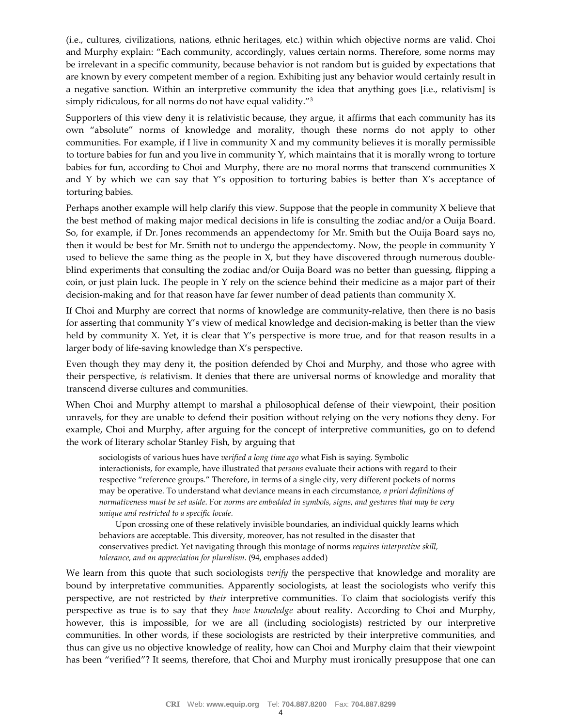(i.e., cultures, civilizations, nations, ethnic heritages, etc.) within which objective norms are valid. Choi and Murphy explain: "Each community, accordingly, values certain norms. Therefore, some norms may be irrelevant in a specific community, because behavior is not random but is guided by expectations that are known by every competent member of a region. Exhibiting just any behavior would certainly result in a negative sanction. Within an interpretive community the idea that anything goes [i.e., relativism] is simply ridiculous, for all norms do not have equal validity."<sup>3</sup>

Supporters of this view deny it is relativistic because, they argue, it affirms that each community has its own "absolute" norms of knowledge and morality, though these norms do not apply to other communities. For example, if I live in community X and my community believes it is morally permissible to torture babies for fun and you live in community  $Y$ , which maintains that it is morally wrong to torture babies for fun, according to Choi and Murphy, there are no moral norms that transcend communities X and Y by which we can say that Y's opposition to torturing babies is better than X's acceptance of torturing babies.

Perhaps another example will help clarify this view. Suppose that the people in community X believe that the best method of making major medical decisions in life is consulting the zodiac and/or a Ouija Board. So, for example, if Dr. Jones recommends an appendectomy for Mr. Smith but the Ouija Board says no, then it would be best for Mr. Smith not to undergo the appendectomy. Now, the people in community Y used to believe the same thing as the people in X, but they have discovered through numerous doubleblind experiments that consulting the zodiac and/or Ouija Board was no better than guessing, flipping a coin, or just plain luck. The people in  $Y$  rely on the science behind their medicine as a major part of their decision-making and for that reason have far fewer number of dead patients than community X.

If Choi and Murphy are correct that norms of knowledge are community-relative, then there is no basis for asserting that community Y's view of medical knowledge and decision-making is better than the view held by community X. Yet, it is clear that Y's perspective is more true, and for that reason results in a larger body of life-saving knowledge than X's perspective.

Even though they may deny it, the position defended by Choi and Murphy, and those who agree with their perspective, *is* relativism. It denies that there are universal norms of knowledge and morality that transcend diverse cultures and communities.

When Choi and Murphy attempt to marshal a philosophical defense of their viewpoint, their position unravels, for they are unable to defend their position without relying on the very notions they deny. For example, Choi and Murphy, after arguing for the concept of interpretive communities, go on to defend the work of literary scholar Stanley Fish, by arguing that

sociologists of various hues have *verified a long time ago* what Fish is saying. Symbolic interactionists, for example, have illustrated that *persons* evaluate their actions with regard to their respective "reference groups." Therefore, in terms of a single city, very different pockets of norms may be operative. To understand what deviance means in each circumstance, *a priori definitions of normativeness must be set aside*. For *norms are embedded in symbols, signs, and gestures that may be very unique and restricted to a specific locale.*

Upon crossing one of these relatively invisible boundaries, an individual quickly learns which behaviors are acceptable. This diversity, moreover, has not resulted in the disaster that conservatives predict. Yet navigating through this montage of norms *requires interpretive skill, tolerance, and an appreciation for pluralism*. (94, emphases added)

We learn from this quote that such sociologists *verify* the perspective that knowledge and morality are bound by interpretative communities. Apparently sociologists, at least the sociologists who verify this perspective, are not restricted by *their* interpretive communities. To claim that sociologists verify this perspective as true is to say that they *have knowledge* about reality. According to Choi and Murphy, however, this is impossible, for we are all (including sociologists) restricted by our interpretive communities. In other words, if these sociologists are restricted by their interpretive communities, and thus can give us no objective knowledge of reality, how can Choi and Murphy claim that their viewpoint has been "verified"? It seems, therefore, that Choi and Murphy must ironically presuppose that one can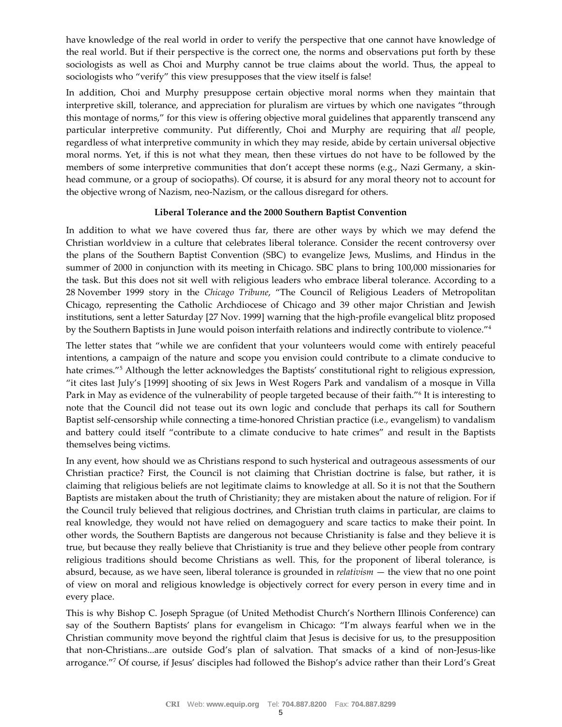have knowledge of the real world in order to verify the perspective that one cannot have knowledge of the real world. But if their perspective is the correct one, the norms and observations put forth by these sociologists as well as Choi and Murphy cannot be true claims about the world. Thus, the appeal to sociologists who "verify" this view presupposes that the view itself is false!

In addition, Choi and Murphy presuppose certain objective moral norms when they maintain that interpretive skill, tolerance, and appreciation for pluralism are virtues by which one navigates "through this montage of norms," for this view is offering objective moral guidelines that apparently transcend any particular interpretive community. Put differently, Choi and Murphy are requiring that *all* people, regardless of what interpretive community in which they may reside, abide by certain universal objective moral norms. Yet, if this is not what they mean, then these virtues do not have to be followed by the members of some interpretive communities that don't accept these norms (e.g., Nazi Germany, a skinhead commune, or a group of sociopaths). Of course, it is absurd for any moral theory not to account for the objective wrong of Nazism, neo-Nazism, or the callous disregard for others.

## **Liberal Tolerance and the 2000 Southern Baptist Convention**

In addition to what we have covered thus far, there are other ways by which we may defend the Christian worldview in a culture that celebrates liberal tolerance. Consider the recent controversy over the plans of the Southern Baptist Convention (SBC) to evangelize Jews, Muslims, and Hindus in the summer of 2000 in conjunction with its meeting in Chicago. SBC plans to bring 100,000 missionaries for the task. But this does not sit well with religious leaders who embrace liberal tolerance. According to a 28 November 1999 story in the *Chicago Tribune*, "The Council of Religious Leaders of Metropolitan Chicago, representing the Catholic Archdiocese of Chicago and 39 other major Christian and Jewish institutions, sent a letter Saturday [27 Nov. 1999] warning that the high-profile evangelical blitz proposed by the Southern Baptists in June would poison interfaith relations and indirectly contribute to violence."<sup>4</sup>

The letter states that "while we are confident that your volunteers would come with entirely peaceful intentions, a campaign of the nature and scope you envision could contribute to a climate conducive to hate crimes."<sup>5</sup> Although the letter acknowledges the Baptists' constitutional right to religious expression, "it cites last July's [1999] shooting of six Jews in West Rogers Park and vandalism of a mosque in Villa Park in May as evidence of the vulnerability of people targeted because of their faith."<sup>6</sup> It is interesting to note that the Council did not tease out its own logic and conclude that perhaps its call for Southern Baptist self-censorship while connecting a time-honored Christian practice (i.e., evangelism) to vandalism and battery could itself "contribute to a climate conducive to hate crimes" and result in the Baptists themselves being victims.

In any event, how should we as Christians respond to such hysterical and outrageous assessments of our Christian practice? First, the Council is not claiming that Christian doctrine is false, but rather, it is claiming that religious beliefs are not legitimate claims to knowledge at all. So it is not that the Southern Baptists are mistaken about the truth of Christianity; they are mistaken about the nature of religion. For if the Council truly believed that religious doctrines, and Christian truth claims in particular, are claims to real knowledge, they would not have relied on demagoguery and scare tactics to make their point. In other words, the Southern Baptists are dangerous not because Christianity is false and they believe it is true, but because they really believe that Christianity is true and they believe other people from contrary religious traditions should become Christians as well. This, for the proponent of liberal tolerance, is absurd, because, as we have seen, liberal tolerance is grounded in *relativism* — the view that no one point of view on moral and religious knowledge is objectively correct for every person in every time and in every place.

This is why Bishop C. Joseph Sprague (of United Methodist Church's Northern Illinois Conference) can say of the Southern Baptists' plans for evangelism in Chicago: "I'm always fearful when we in the Christian community move beyond the rightful claim that Jesus is decisive for us, to the presupposition that non-Christians...are outside God's plan of salvation. That smacks of a kind of non-Jesus-like arrogance."<sup>7</sup> Of course, if Jesus' disciples had followed the Bishop's advice rather than their Lord's Great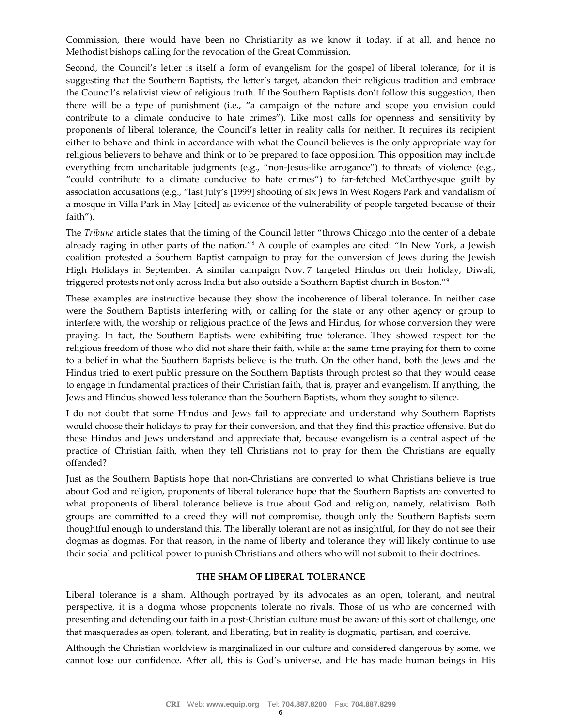Commission, there would have been no Christianity as we know it today, if at all, and hence no Methodist bishops calling for the revocation of the Great Commission.

Second, the Council's letter is itself a form of evangelism for the gospel of liberal tolerance, for it is suggesting that the Southern Baptists, the letter's target, abandon their religious tradition and embrace the Council's relativist view of religious truth. If the Southern Baptists don't follow this suggestion, then there will be a type of punishment (i.e., "a campaign of the nature and scope you envision could contribute to a climate conducive to hate crimes"). Like most calls for openness and sensitivity by proponents of liberal tolerance, the Council's letter in reality calls for neither. It requires its recipient either to behave and think in accordance with what the Council believes is the only appropriate way for religious believers to behave and think or to be prepared to face opposition. This opposition may include everything from uncharitable judgments (e.g., "non-Jesus-like arrogance") to threats of violence (e.g., "could contribute to a climate conducive to hate crimes") to far-fetched McCarthyesque guilt by association accusations (e.g., "last July's [1999] shooting of six Jews in West Rogers Park and vandalism of a mosque in Villa Park in May [cited] as evidence of the vulnerability of people targeted because of their faith").

The *Tribune* article states that the timing of the Council letter "throws Chicago into the center of a debate already raging in other parts of the nation."<sup>8</sup> A couple of examples are cited: "In New York, a Jewish coalition protested a Southern Baptist campaign to pray for the conversion of Jews during the Jewish High Holidays in September. A similar campaign Nov. 7 targeted Hindus on their holiday, Diwali, triggered protests not only across India but also outside a Southern Baptist church in Boston."<sup>9</sup>

These examples are instructive because they show the incoherence of liberal tolerance. In neither case were the Southern Baptists interfering with, or calling for the state or any other agency or group to interfere with, the worship or religious practice of the Jews and Hindus, for whose conversion they were praying. In fact, the Southern Baptists were exhibiting true tolerance. They showed respect for the religious freedom of those who did not share their faith, while at the same time praying for them to come to a belief in what the Southern Baptists believe is the truth. On the other hand, both the Jews and the Hindus tried to exert public pressure on the Southern Baptists through protest so that they would cease to engage in fundamental practices of their Christian faith, that is, prayer and evangelism. If anything, the Jews and Hindus showed less tolerance than the Southern Baptists, whom they sought to silence.

I do not doubt that some Hindus and Jews fail to appreciate and understand why Southern Baptists would choose their holidays to pray for their conversion, and that they find this practice offensive. But do these Hindus and Jews understand and appreciate that, because evangelism is a central aspect of the practice of Christian faith, when they tell Christians not to pray for them the Christians are equally offended?

Just as the Southern Baptists hope that non-Christians are converted to what Christians believe is true about God and religion, proponents of liberal tolerance hope that the Southern Baptists are converted to what proponents of liberal tolerance believe is true about God and religion, namely, relativism. Both groups are committed to a creed they will not compromise, though only the Southern Baptists seem thoughtful enough to understand this. The liberally tolerant are not as insightful, for they do not see their dogmas as dogmas. For that reason, in the name of liberty and tolerance they will likely continue to use their social and political power to punish Christians and others who will not submit to their doctrines.

#### **THE SHAM OF LIBERAL TOLERANCE**

Liberal tolerance is a sham. Although portrayed by its advocates as an open, tolerant, and neutral perspective, it is a dogma whose proponents tolerate no rivals. Those of us who are concerned with presenting and defending our faith in a post-Christian culture must be aware of this sort of challenge, one that masquerades as open, tolerant, and liberating, but in reality is dogmatic, partisan, and coercive.

Although the Christian worldview is marginalized in our culture and considered dangerous by some, we cannot lose our confidence. After all, this is God's universe, and He has made human beings in His